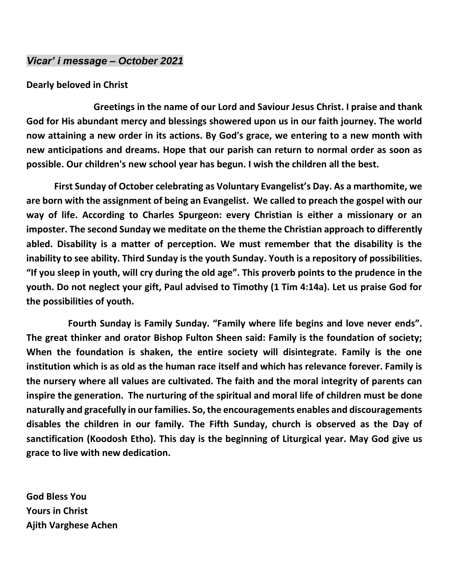## *Vicar' i message – October 2021*

#### **Dearly beloved in Christ**

 **Greetings in the name of our Lord and Saviour Jesus Christ. I praise and thank God for His abundant mercy and blessings showered upon us in our faith journey. The world now attaining a new order in its actions. By God's grace, we entering to a new month with new anticipations and dreams. Hope that our parish can return to normal order as soon as possible. Our children's new school year has begun. I wish the children all the best.** 

 **First Sunday of October celebrating as Voluntary Evangelist's Day. As a marthomite, we are born with the assignment of being an Evangelist. We called to preach the gospel with our way of life. According to Charles Spurgeon: every Christian is either a missionary or an imposter. The second Sunday we meditate on the theme the Christian approach to differently abled. Disability is a matter of perception. We must remember that the disability is the inability to see ability. Third Sunday is the youth Sunday. Youth is a repository of possibilities. "If you sleep in youth, will cry during the old age". This proverb points to the prudence in the youth. Do not neglect your gift, Paul advised to Timothy (1 Tim 4:14a). Let us praise God for the possibilities of youth.**

 **Fourth Sunday is Family Sunday. "Family where life begins and love never ends". The great thinker and orator Bishop Fulton Sheen said: Family is the foundation of society; When the foundation is shaken, the entire society will disintegrate. Family is the one institution which is as old as the human race itself and which has relevance forever. Family is the nursery where all values are cultivated. The faith and the moral integrity of parents can inspire the generation. The nurturing of the spiritual and moral life of children must be done naturally and gracefully in our families. So, the encouragements enables and discouragements disables the children in our family. The Fifth Sunday, church is observed as the Day of sanctification (Koodosh Etho). This day is the beginning of Liturgical year. May God give us grace to live with new dedication.** 

**God Bless You Yours in Christ Ajith Varghese Achen**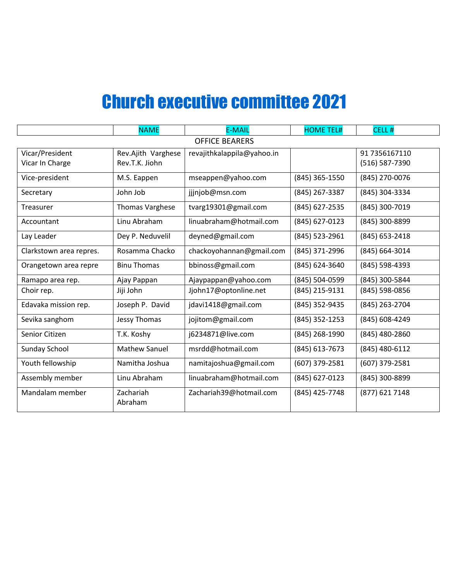# Church executive committee 2021

|                         | <b>NAME</b>            | <b>E-MAIL</b>              | <b>HOME TEL#</b> | CELL#            |
|-------------------------|------------------------|----------------------------|------------------|------------------|
| <b>OFFICE BEARERS</b>   |                        |                            |                  |                  |
| Vicar/President         | Rev.Ajith Varghese     | revajithkalappila@yahoo.in |                  | 91 7356167110    |
| Vicar In Charge         | Rev.T.K. Jiohn         |                            |                  | (516) 587-7390   |
| Vice-president          | M.S. Eappen            | mseappen@yahoo.com         | (845) 365-1550   | (845) 270-0076   |
| Secretary               | John Job               | jjjnjob@msn.com            | (845) 267-3387   | (845) 304-3334   |
| Treasurer               | <b>Thomas Varghese</b> | tvarg19301@gmail.com       | (845) 627-2535   | (845) 300-7019   |
| Accountant              | Linu Abraham           | linuabraham@hotmail.com    | (845) 627-0123   | (845) 300-8899   |
| Lay Leader              | Dey P. Neduvelil       | deyned@gmail.com           | (845) 523-2961   | $(845)$ 653-2418 |
| Clarkstown area repres. | Rosamma Chacko         | chackoyohannan@gmail.com   | (845) 371-2996   | (845) 664-3014   |
| Orangetown area repre   | <b>Binu Thomas</b>     | bbinoss@gmail.com          | (845) 624-3640   | (845) 598-4393   |
| Ramapo area rep.        | Ajay Pappan            | Ajaypappan@yahoo.com       | (845) 504-0599   | (845) 300-5844   |
| Choir rep.              | Jiji John              | Jjohn17@optonline.net      | (845) 215-9131   | (845) 598-0856   |
| Edavaka mission rep.    | Joseph P. David        | jdavi1418@gmail.com        | (845) 352-9435   | (845) 263-2704   |
| Sevika sanghom          | Jessy Thomas           | jojitom@gmail.com          | (845) 352-1253   | (845) 608-4249   |
| Senior Citizen          | T.K. Koshy             | j6234871@live.com          | (845) 268-1990   | (845) 480-2860   |
| Sunday School           | <b>Mathew Sanuel</b>   | msrdd@hotmail.com          | (845) 613-7673   | (845) 480-6112   |
| Youth fellowship        | Namitha Joshua         | namitajoshua@gmail.com     | (607) 379-2581   | (607) 379-2581   |
| Assembly member         | Linu Abraham           | linuabraham@hotmail.com    | (845) 627-0123   | (845) 300-8899   |
| Mandalam member         | Zachariah<br>Abraham   | Zachariah39@hotmail.com    | (845) 425-7748   | (877) 621 7148   |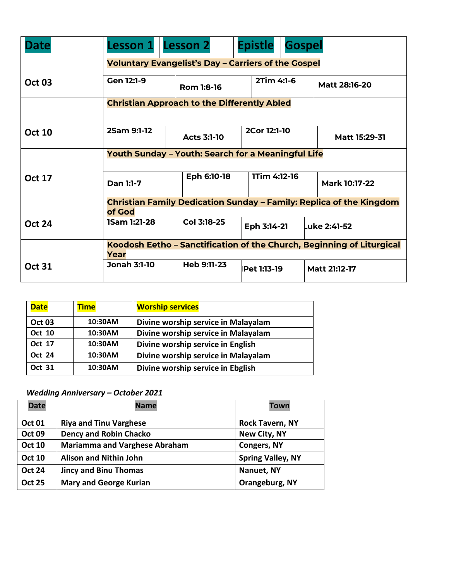| Date          | <b>Lesson 1</b>                                                            | <b>Lesson 2</b>                                    | <b>Epistle</b>     | <b>Gospel</b> |                      |
|---------------|----------------------------------------------------------------------------|----------------------------------------------------|--------------------|---------------|----------------------|
|               | <b>Voluntary Evangelist's Day - Carriers of the Gospel</b>                 |                                                    |                    |               |                      |
| <b>Oct 03</b> | Gen 12:1-9                                                                 | Rom 1:8-16                                         | 2Tim 4:1-6         |               | <b>Matt 28:16-20</b> |
|               |                                                                            | <b>Christian Approach to the Differently Abled</b> |                    |               |                      |
|               |                                                                            |                                                    |                    |               |                      |
| <b>Oct 10</b> | 2Sam 9:1-12                                                                | <b>Acts 3:1-10</b>                                 | 2Cor 12:1-10       |               | Matt 15:29-31        |
|               | <b>Youth Sunday - Youth: Search for a Meaningful Life</b>                  |                                                    |                    |               |                      |
|               | 1Tim 4:12-16                                                               |                                                    |                    |               |                      |
| <b>Oct 17</b> | Dan 1:1-7                                                                  | Eph 6:10-18                                        |                    |               | <b>Mark 10:17-22</b> |
|               | <b>Christian Family Dedication Sunday – Family: Replica of the Kingdom</b> |                                                    |                    |               |                      |
|               | of God                                                                     |                                                    |                    |               |                      |
| <b>Oct 24</b> | <b>1Sam 1:21-28</b>                                                        | Col 3:18-25                                        | Eph 3:14-21        |               | Luke 2:41-52         |
|               | Koodosh Eetho - Sanctification of the Church, Beginning of Liturgical      |                                                    |                    |               |                      |
|               | Year                                                                       |                                                    |                    |               |                      |
| <b>Oct 31</b> | <b>Jonah 3:1-10</b>                                                        | Heb 9:11-23                                        | <b>Pet 1:13-19</b> |               | <b>Matt 21:12-17</b> |

| <b>Date</b>   | <b>Time</b> | <b>Worship services</b>             |
|---------------|-------------|-------------------------------------|
| <b>Oct 03</b> | 10:30AM     | Divine worship service in Malayalam |
| <b>Oct 10</b> | 10:30AM     | Divine worship service in Malayalam |
| Oct 17        | 10:30AM     | Divine worship service in English   |
| <b>Oct 24</b> | 10:30AM     | Divine worship service in Malayalam |
| Oct 31        | 10:30AM     | Divine worship service in Ebglish   |

### *Wedding Anniversary – October 2021*

| <b>Date</b>   | <b>Name</b>                          | <b>Town</b>              |
|---------------|--------------------------------------|--------------------------|
| <b>Oct 01</b> | <b>Riya and Tinu Varghese</b>        | <b>Rock Tavern, NY</b>   |
| <b>Oct 09</b> | <b>Dency and Robin Chacko</b>        | New City, NY             |
| <b>Oct 10</b> | <b>Mariamma and Varghese Abraham</b> | <b>Congers, NY</b>       |
| <b>Oct 10</b> | <b>Alison and Nithin John</b>        | <b>Spring Valley, NY</b> |
| <b>Oct 24</b> | <b>Jincy and Binu Thomas</b>         | Nanuet, NY               |
| <b>Oct 25</b> | <b>Mary and George Kurian</b>        | Orangeburg, NY           |